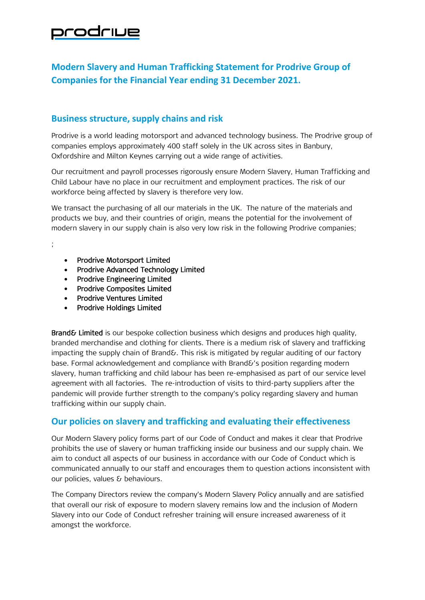## prodriue

## **Modern Slavery and Human Trafficking Statement for Prodrive Group of Companies for the Financial Year ending 31 December 2021.**

## **Business structure, supply chains and risk**

Prodrive is a world leading motorsport and advanced technology business. The Prodrive group of companies employs approximately 400 staff solely in the UK across sites in Banbury, Oxfordshire and Milton Keynes carrying out a wide range of activities.

Our recruitment and payroll processes rigorously ensure Modern Slavery, Human Trafficking and Child Labour have no place in our recruitment and employment practices. The risk of our workforce being affected by slavery is therefore very low.

We transact the purchasing of all our materials in the UK. The nature of the materials and products we buy, and their countries of origin, means the potential for the involvement of modern slavery in our supply chain is also very low risk in the following Prodrive companies;

• Prodrive Motorsport Limited

;

- Prodrive Advanced Technology Limited
- Prodrive Engineering Limited
- Prodrive Composites Limited
- Prodrive Ventures Limited
- Prodrive Holdings Limited

Brand& Limited is our bespoke collection business which designs and produces high quality, branded merchandise and clothing for clients. There is a medium risk of slavery and trafficking impacting the supply chain of Brand&. This risk is mitigated by regular auditing of our factory base. Formal acknowledgement and compliance with Brand&'s position regarding modern slavery, human trafficking and child labour has been re-emphasised as part of our service level agreement with all factories. The re-introduction of visits to third-party suppliers after the pandemic will provide further strength to the company's policy regarding slavery and human trafficking within our supply chain.

## **Our policies on slavery and trafficking and evaluating their effectiveness**

Our Modern Slavery policy forms part of our Code of Conduct and makes it clear that Prodrive prohibits the use of slavery or human trafficking inside our business and our supply chain. We aim to conduct all aspects of our business in accordance with our Code of Conduct which is communicated annually to our staff and encourages them to question actions inconsistent with our policies, values & behaviours.

The Company Directors review the company's Modern Slavery Policy annually and are satisfied that overall our risk of exposure to modern slavery remains low and the inclusion of Modern Slavery into our Code of Conduct refresher training will ensure increased awareness of it amongst the workforce.